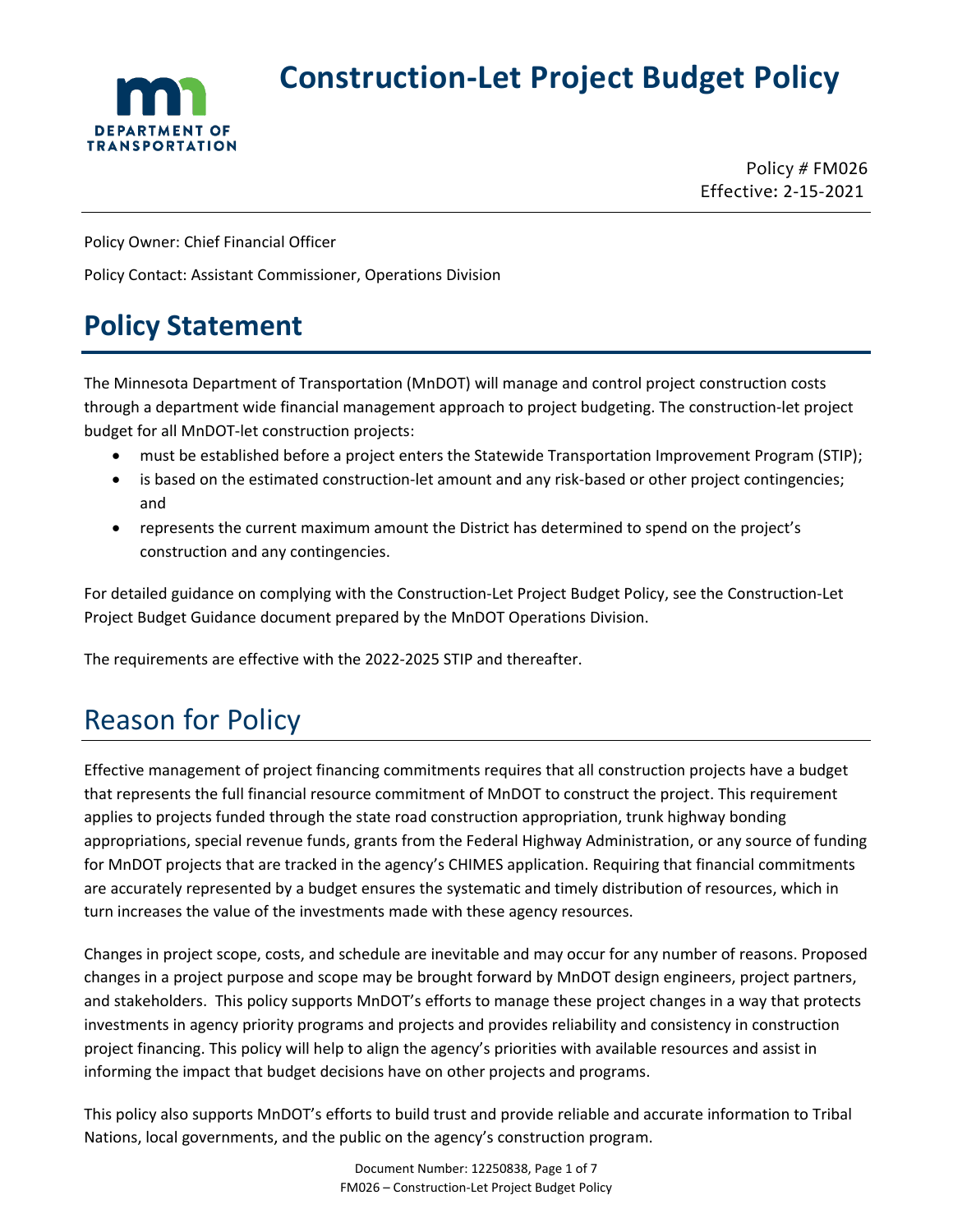

# **Construction-Let Project Budget Policy**

Policy # FM026 Effective: 2-15-2021

Policy Owner: Chief Financial Officer

Policy Contact: Assistant Commissioner, Operations Division

## **Policy Statement**

The Minnesota Department of Transportation (MnDOT) will manage and control project construction costs through a department wide financial management approach to project budgeting. The construction-let project budget for all MnDOT-let construction projects:

- must be established before a project enters the Statewide Transportation Improvement Program (STIP);
- is based on the estimated construction-let amount and any risk-based or other project contingencies; and
- represents the current maximum amount the District has determined to spend on the project's construction and any contingencies.

For detailed guidance on complying with the Construction-Let Project Budget Policy, see the Construction-Let Project Budget Guidance document prepared by the MnDOT Operations Division.

The requirements are effective with the 2022-2025 STIP and thereafter.

# Reason for Policy

Effective management of project financing commitments requires that all construction projects have a budget that represents the full financial resource commitment of MnDOT to construct the project. This requirement applies to projects funded through the state road construction appropriation, trunk highway bonding appropriations, special revenue funds, grants from the Federal Highway Administration, or any source of funding for MnDOT projects that are tracked in the agency's CHIMES application. Requiring that financial commitments are accurately represented by a budget ensures the systematic and timely distribution of resources, which in turn increases the value of the investments made with these agency resources.

Changes in project scope, costs, and schedule are inevitable and may occur for any number of reasons. Proposed changes in a project purpose and scope may be brought forward by MnDOT design engineers, project partners, and stakeholders. This policy supports MnDOT's efforts to manage these project changes in a way that protects investments in agency priority programs and projects and provides reliability and consistency in construction project financing. This policy will help to align the agency's priorities with available resources and assist in informing the impact that budget decisions have on other projects and programs.

This policy also supports MnDOT's efforts to build trust and provide reliable and accurate information to Tribal Nations, local governments, and the public on the agency's construction program.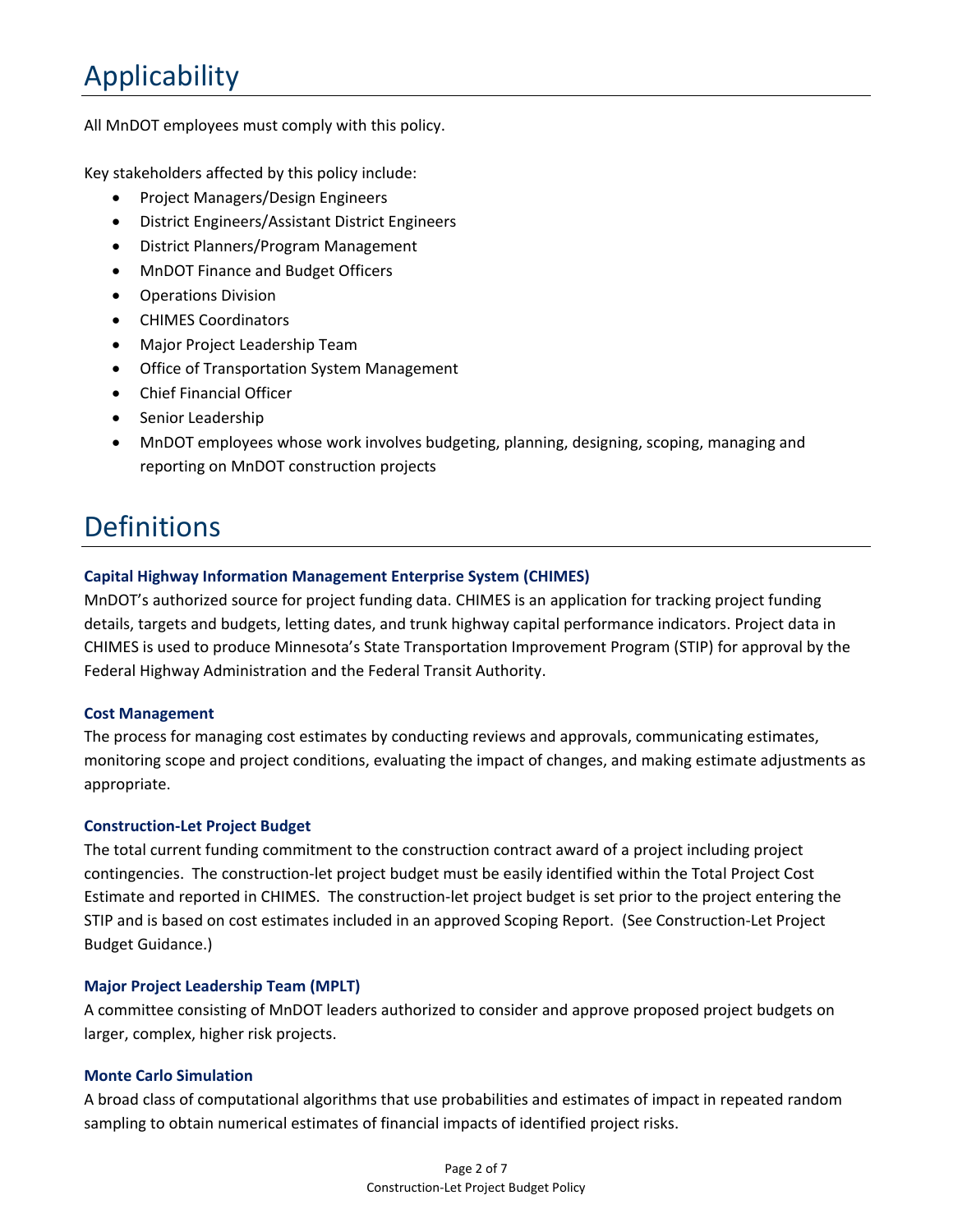# Applicability

All MnDOT employees must comply with this policy.

Key stakeholders affected by this policy include:

- Project Managers/Design Engineers
- District Engineers/Assistant District Engineers
- District Planners/Program Management
- MnDOT Finance and Budget Officers
- Operations Division
- CHIMES Coordinators
- Major Project Leadership Team
- Office of Transportation System Management
- Chief Financial Officer
- Senior Leadership
- MnDOT employees whose work involves budgeting, planning, designing, scoping, managing and reporting on MnDOT construction projects

## **Definitions**

### **Capital Highway Information Management Enterprise System (CHIMES)**

MnDOT's authorized source for project funding data. CHIMES is an application for tracking project funding details, targets and budgets, letting dates, and trunk highway capital performance indicators. Project data in CHIMES is used to produce Minnesota's State Transportation Improvement Program (STIP) for approval by the Federal Highway Administration and the Federal Transit Authority.

### **Cost Management**

The process for managing cost estimates by conducting reviews and approvals, communicating estimates, monitoring scope and project conditions, evaluating the impact of changes, and making estimate adjustments as appropriate.

### **Construction-Let Project Budget**

The total current funding commitment to the construction contract award of a project including project contingencies. The construction-let project budget must be easily identified within the Total Project Cost Estimate and reported in CHIMES. The construction-let project budget is set prior to the project entering the STIP and is based on cost estimates included in an approved Scoping Report. (See Construction-Let Project Budget Guidance.)

### **Major Project Leadership Team (MPLT)**

A committee consisting of MnDOT leaders authorized to consider and approve proposed project budgets on larger, complex, higher risk projects.

#### **Monte Carlo Simulation**

A broad class of computational algorithms that use probabilities and estimates of impact in repeated random sampling to obtain numerical estimates of financial impacts of identified project risks.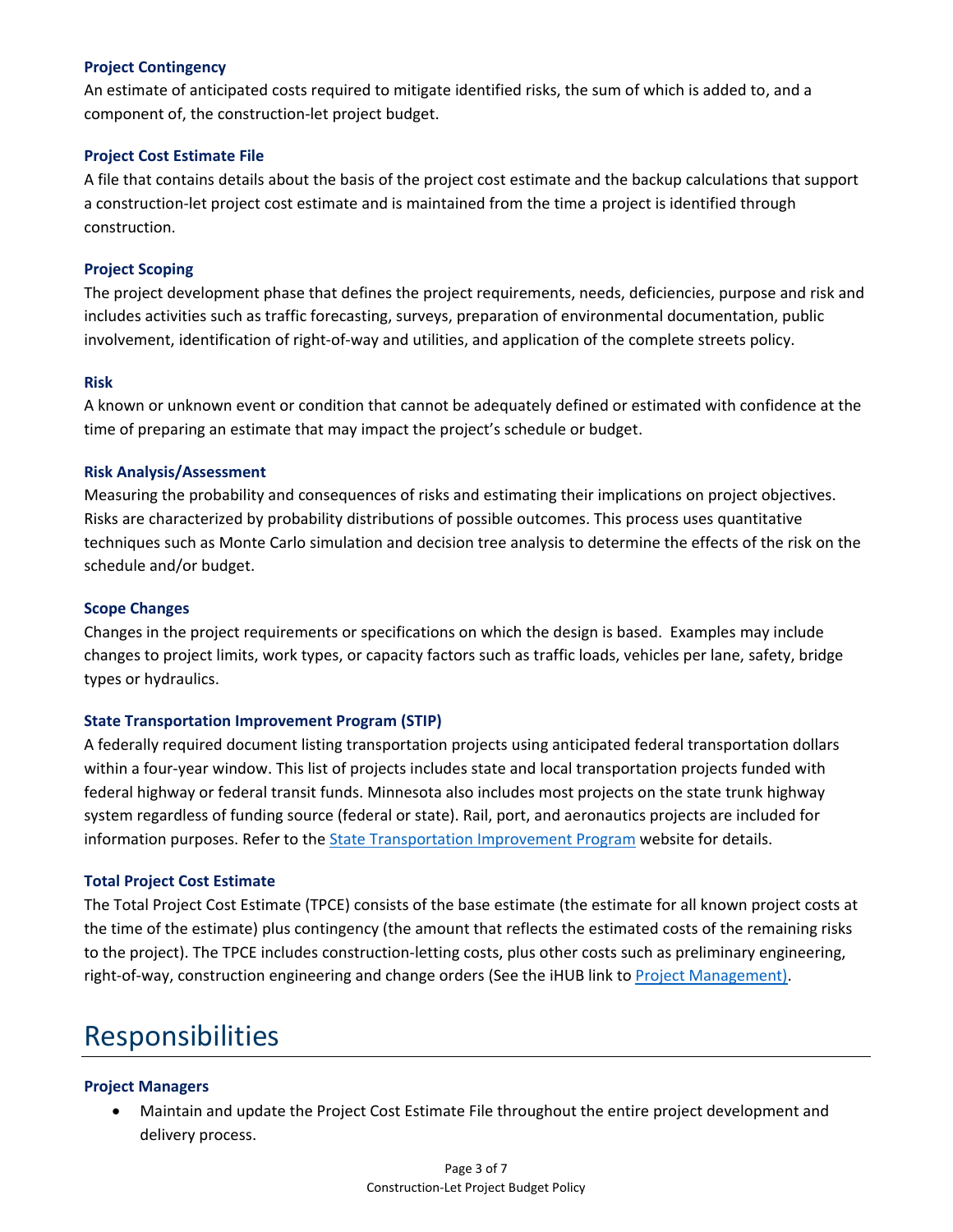### **Project Contingency**

An estimate of anticipated costs required to mitigate identified risks, the sum of which is added to, and a component of, the construction-let project budget.

### **Project Cost Estimate File**

A file that contains details about the basis of the project cost estimate and the backup calculations that support a construction-let project cost estimate and is maintained from the time a project is identified through construction.

### **Project Scoping**

The project development phase that defines the project requirements, needs, deficiencies, purpose and risk and includes activities such as traffic forecasting, surveys, preparation of environmental documentation, public involvement, identification of right-of-way and utilities, and application of the complete streets policy.

### **Risk**

A known or unknown event or condition that cannot be adequately defined or estimated with confidence at the time of preparing an estimate that may impact the project's schedule or budget.

### **Risk Analysis/Assessment**

Measuring the probability and consequences of risks and estimating their implications on project objectives. Risks are characterized by probability distributions of possible outcomes. This process uses quantitative techniques such as Monte Carlo simulation and decision tree analysis to determine the effects of the risk on the schedule and/or budget.

### **Scope Changes**

Changes in the project requirements or specifications on which the design is based. Examples may include changes to project limits, work types, or capacity factors such as traffic loads, vehicles per lane, safety, bridge types or hydraulics.

#### **State Transportation Improvement Program (STIP)**

A federally required document listing transportation projects using anticipated federal transportation dollars within a four-year window. This list of projects includes state and local transportation projects funded with federal highway or federal transit funds. Minnesota also includes most projects on the state trunk highway system regardless of funding source (federal or state). Rail, port, and aeronautics projects are included for information purposes. Refer to the [State Transportation Improvement](http://www.dot.state.mn.us/planning/program/stip.html) Program website for details.

### **Total Project Cost Estimate**

The Total Project Cost Estimate (TPCE) consists of the base estimate (the estimate for all known project costs at the time of the estimate) plus contingency (the amount that reflects the estimated costs of the remaining risks to the project). The TPCE includes construction-letting costs, plus other costs such as preliminary engineering, right-of-way, construction engineering and change orders (See the iHUB link to [Project Management\)](http://ihub.dot.state.mn.us/projectmanagement/cost.html).

## Responsibilities

### **Project Managers**

• Maintain and update the Project Cost Estimate File throughout the entire project development and delivery process.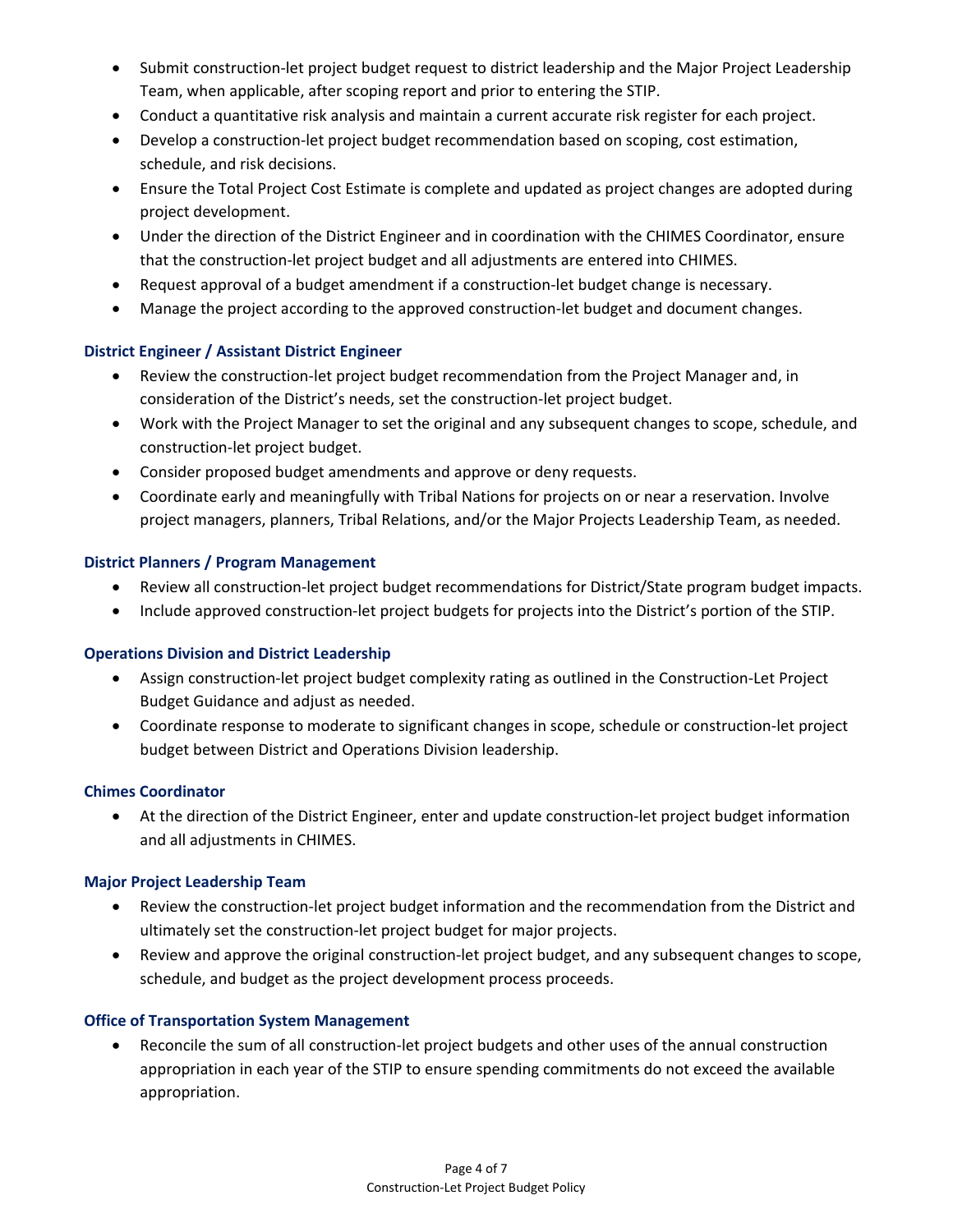- Submit construction-let project budget request to district leadership and the Major Project Leadership Team, when applicable, after scoping report and prior to entering the STIP.
- Conduct a quantitative risk analysis and maintain a current accurate risk register for each project.
- Develop a construction-let project budget recommendation based on scoping, cost estimation, schedule, and risk decisions.
- Ensure the Total Project Cost Estimate is complete and updated as project changes are adopted during project development.
- Under the direction of the District Engineer and in coordination with the CHIMES Coordinator, ensure that the construction-let project budget and all adjustments are entered into CHIMES.
- Request approval of a budget amendment if a construction-let budget change is necessary.
- Manage the project according to the approved construction-let budget and document changes.

### **District Engineer / Assistant District Engineer**

- Review the construction-let project budget recommendation from the Project Manager and, in consideration of the District's needs, set the construction-let project budget.
- Work with the Project Manager to set the original and any subsequent changes to scope, schedule, and construction-let project budget.
- Consider proposed budget amendments and approve or deny requests.
- Coordinate early and meaningfully with Tribal Nations for projects on or near a reservation. Involve project managers, planners, Tribal Relations, and/or the Major Projects Leadership Team, as needed.

### **District Planners / Program Management**

- Review all construction-let project budget recommendations for District/State program budget impacts.
- Include approved construction-let project budgets for projects into the District's portion of the STIP.

### **Operations Division and District Leadership**

- Assign construction-let project budget complexity rating as outlined in the Construction-Let Project Budget Guidance and adjust as needed.
- Coordinate response to moderate to significant changes in scope, schedule or construction-let project budget between District and Operations Division leadership.

### **Chimes Coordinator**

• At the direction of the District Engineer, enter and update construction-let project budget information and all adjustments in CHIMES.

### **Major Project Leadership Team**

- Review the construction-let project budget information and the recommendation from the District and ultimately set the construction-let project budget for major projects.
- Review and approve the original construction-let project budget, and any subsequent changes to scope, schedule, and budget as the project development process proceeds.

### **Office of Transportation System Management**

• Reconcile the sum of all construction-let project budgets and other uses of the annual construction appropriation in each year of the STIP to ensure spending commitments do not exceed the available appropriation.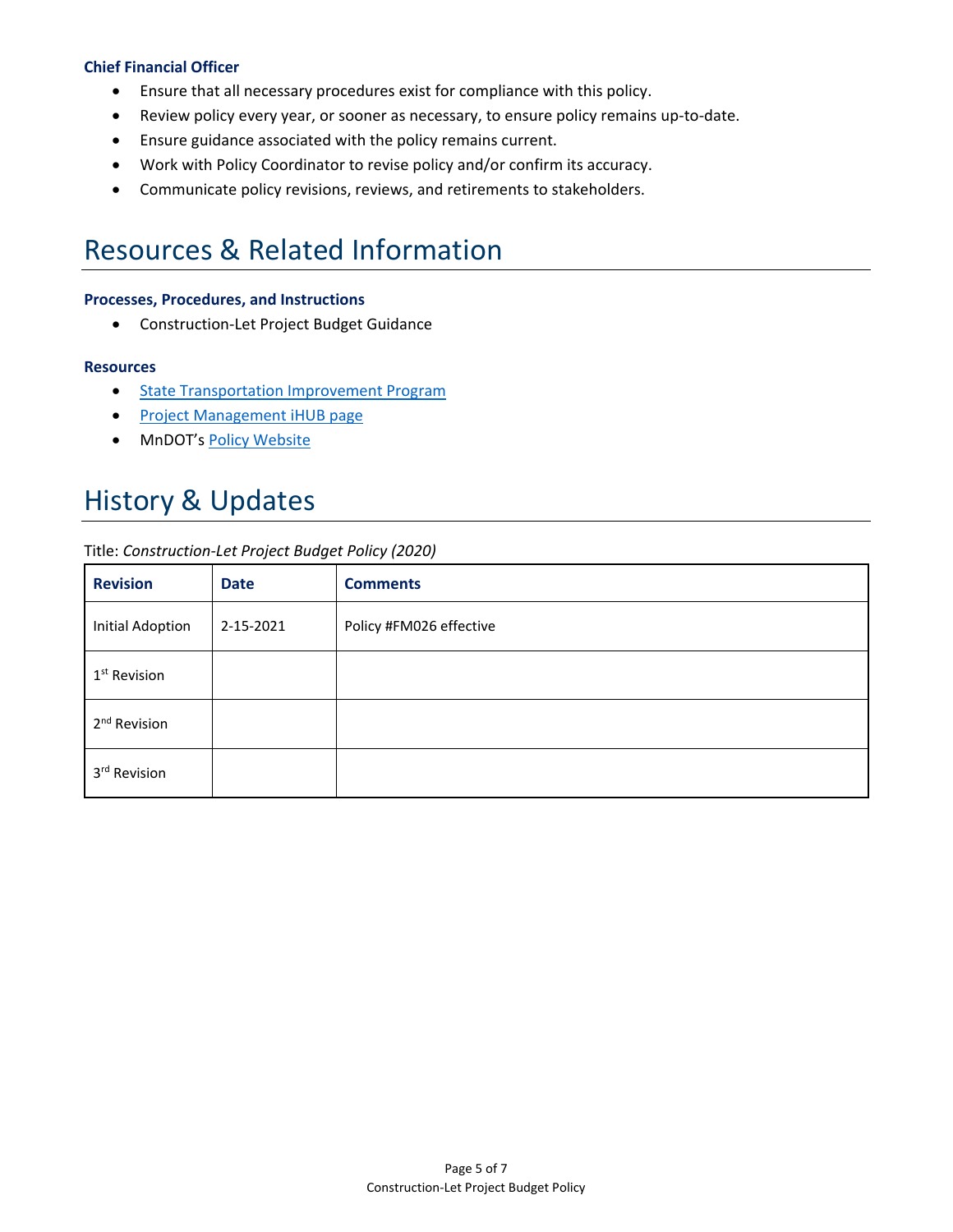### **Chief Financial Officer**

- Ensure that all necessary procedures exist for compliance with this policy.
- Review policy every year, or sooner as necessary, to ensure policy remains up-to-date.
- Ensure guidance associated with the policy remains current.
- Work with Policy Coordinator to revise policy and/or confirm its accuracy.
- Communicate policy revisions, reviews, and retirements to stakeholders.

## Resources & Related Information

### **Processes, Procedures, and Instructions**

• Construction-Let Project Budget Guidance

#### **Resources**

- [State Transportation Improvement Program](http://www.dot.state.mn.us/planning/program/stip.html)
- [Project Management](http://ihub.dot.state.mn.us/projectmanagement/cost.html) iHUB page
- MnDOT's [Policy Website](http://www.dot.state.mn.us/policy/index.html)

## History & Updates

#### Title: *Construction-Let Project Budget Policy (2020)*

| <b>Revision</b>          | <b>Date</b> | <b>Comments</b>         |
|--------------------------|-------------|-------------------------|
| <b>Initial Adoption</b>  | 2-15-2021   | Policy #FM026 effective |
| 1 <sup>st</sup> Revision |             |                         |
| 2 <sup>nd</sup> Revision |             |                         |
| 3rd Revision             |             |                         |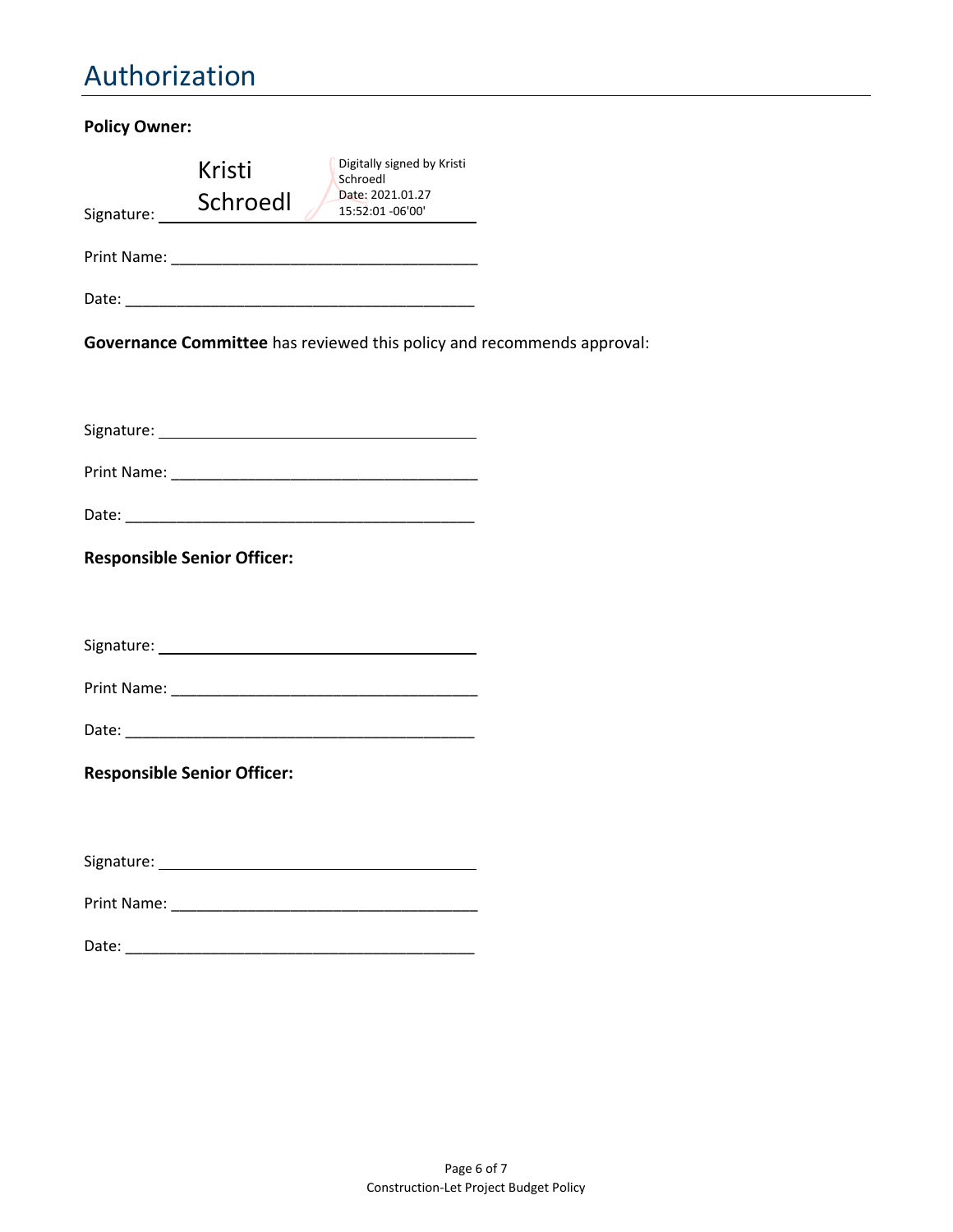## Authorization

| <b>Policy Owner:</b> |                                    |                                                                               |  |
|----------------------|------------------------------------|-------------------------------------------------------------------------------|--|
|                      | Kristi                             | Digitally signed by Kristi<br>Schroedl<br>Date: 2021.01.27                    |  |
| Signature: _____     | Schroedl                           | 15:52:01 -06'00'                                                              |  |
|                      |                                    |                                                                               |  |
|                      |                                    |                                                                               |  |
|                      |                                    | <b>Governance Committee</b> has reviewed this policy and recommends approval: |  |
|                      |                                    |                                                                               |  |
|                      |                                    |                                                                               |  |
|                      |                                    |                                                                               |  |
|                      | <b>Responsible Senior Officer:</b> |                                                                               |  |
|                      |                                    |                                                                               |  |
|                      |                                    |                                                                               |  |
|                      |                                    |                                                                               |  |
|                      | <b>Responsible Senior Officer:</b> |                                                                               |  |
|                      |                                    |                                                                               |  |
|                      |                                    |                                                                               |  |
| Date:                |                                    |                                                                               |  |